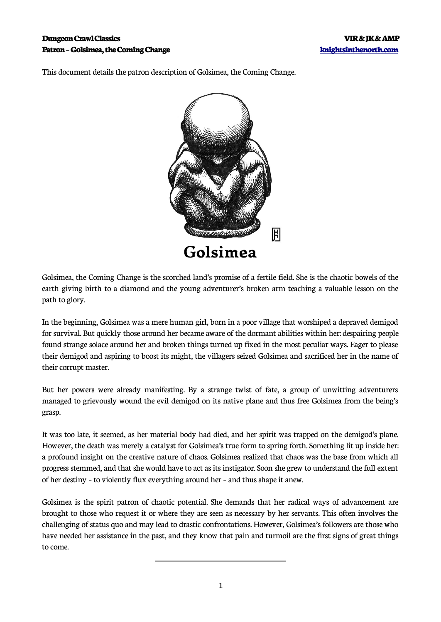#### **Dungeon Crawl Classics American Crawl Classics** VIR & JK & AMP **Patron – Golsimea, the Coming Change [knightsinthenorth.com](http://knightsinthenorth.com/)**

This document details the patron description of Golsimea, the Coming Change.



Golsimea, the Coming Change is the scorched land's promise of a fertile field. She is the chaotic bowels of the earth giving birth to a diamond and the young adventurer's broken arm teaching a valuable lesson on the path to glory.

In the beginning, Golsimea was a mere human girl, born in a poor village that worshiped a depraved demigod for survival. But quickly those around her became aware of the dormant abilities within her: despairing people found strange solace around her and broken things turned up fixed in the most peculiar ways. Eager to please their demigod and aspiring to boost its might, the villagers seized Golsimea and sacrificed her in the name of their corrupt master.

But her powers were already manifesting. By a strange twist of fate, a group of unwitting adventurers managed to grievously wound the evil demigod on its native plane and thus free Golsimea from the being's grasp.

It was too late, it seemed, as her material body had died, and her spirit was trapped on the demigod's plane. However, the death was merely a catalyst for Golsimea's true form to spring forth. Something lit up inside her: a profound insight on the creative nature of chaos. Golsimea realized that chaos was the base from which all progress stemmed, and that she would have to act as its instigator. Soon she grew to understand the full extent of her destiny – to violently flux everything around her – and thus shape it anew.

Golsimea is the spirit patron of chaotic potential. She demands that her radical ways of advancement are brought to those who request it or where they are seen as necessary by her servants. This often involves the challenging of status quo and may lead to drastic confrontations. However, Golsimea's followers are those who have needed her assistance in the past, and they know that pain and turmoil are the first signs of great things to come.

 $\overline{a}$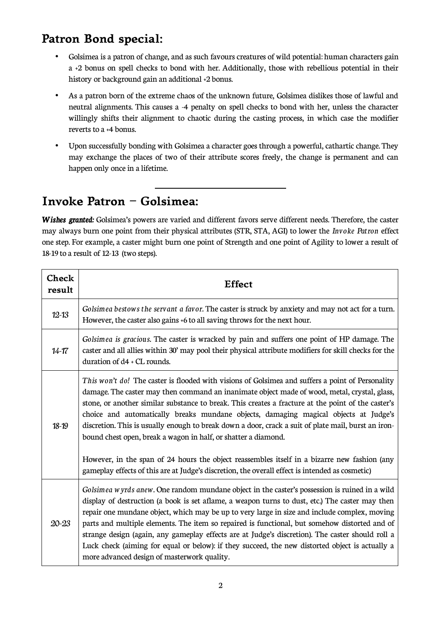# **Patron Bond special:**

- Golsimea is a patron of change, and as such favours creatures of wild potential: human characters gain a +2 bonus on spell checks to bond with her. Additionally, those with rebellious potential in their history or background gain an additional +2 bonus.
- As a patron born of the extreme chaos of the unknown future, Golsimea dislikes those of lawful and neutral alignments. This causes a -4 penalty on spell checks to bond with her, unless the character willingly shifts their alignment to chaotic during the casting process, in which case the modifier reverts to a +4 bonus.
- Upon successfully bonding with Golsimea a character goes through a powerful, cathartic change. They may exchange the places of two of their attribute scores freely, the change is permanent and can happen only once in a lifetime.

# **Invoke Patron – Golsimea:**

 $\overline{\phantom{a}}$ 

*Wishes granted:* Golsimea's powers are varied and different favors serve different needs. Therefore, the caster may always burn one point from their physical attributes (STR, STA, AGI) to lower the *Invoke Patron* effect one step. For example, a caster might burn one point of Strength and one point of Agility to lower a result of 18-19 to a result of 12-13 (two steps).

| Check<br>result | Effect                                                                                                                                                                                                                                                                                                                                                                                                                                                                                                                                                                                                                                                                                                                                                                     |
|-----------------|----------------------------------------------------------------------------------------------------------------------------------------------------------------------------------------------------------------------------------------------------------------------------------------------------------------------------------------------------------------------------------------------------------------------------------------------------------------------------------------------------------------------------------------------------------------------------------------------------------------------------------------------------------------------------------------------------------------------------------------------------------------------------|
| $12 - 13$       | Golsimea bestows the servant a favor. The caster is struck by anxiety and may not act for a turn.<br>However, the caster also gains +6 to all saving throws for the next hour.                                                                                                                                                                                                                                                                                                                                                                                                                                                                                                                                                                                             |
| $14 - 17$       | Golsimea is gracious. The caster is wracked by pain and suffers one point of HP damage. The<br>caster and all allies within 30' may pool their physical attribute modifiers for skill checks for the<br>duration of d4 + CL rounds.                                                                                                                                                                                                                                                                                                                                                                                                                                                                                                                                        |
| $18 - 19$       | This won't do! The caster is flooded with visions of Golsimea and suffers a point of Personality<br>damage. The caster may then command an inanimate object made of wood, metal, crystal, glass,<br>stone, or another similar substance to break. This creates a fracture at the point of the caster's<br>choice and automatically breaks mundane objects, damaging magical objects at Judge's<br>discretion. This is usually enough to break down a door, crack a suit of plate mail, burst an iron-<br>bound chest open, break a wagon in half, or shatter a diamond.<br>However, in the span of 24 hours the object reassembles itself in a bizarre new fashion (any<br>gameplay effects of this are at Judge's discretion, the overall effect is intended as cosmetic) |
| $20 - 23$       | Golsimea wyrds anew. One random mundane object in the caster's possession is ruined in a wild<br>display of destruction (a book is set aflame, a weapon turns to dust, etc.) The caster may then<br>repair one mundane object, which may be up to very large in size and include complex, moving<br>parts and multiple elements. The item so repaired is functional, but somehow distorted and of<br>strange design (again, any gameplay effects are at Judge's discretion). The caster should roll a<br>Luck check (aiming for equal or below): if they succeed, the new distorted object is actually a<br>more advanced design of masterwork quality.                                                                                                                    |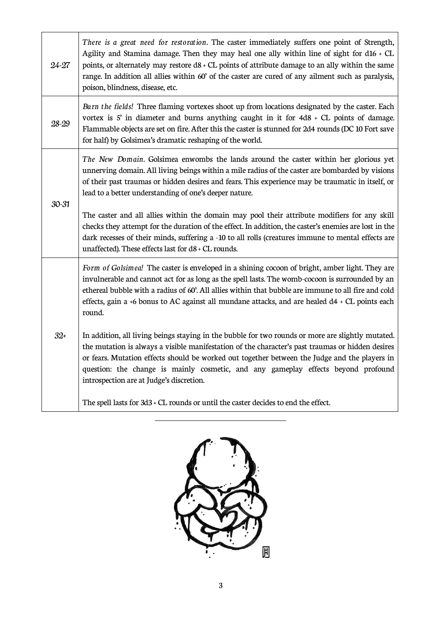| 24-27     | There is a great need for restoration. The caster immediately suffers one point of Strength,<br>Agility and Stamina damage. Then they may heal one ally within line of sight for d16 $+$ CL<br>points, or alternately may restore $d8 + CL$ points of attribute damage to an ally within the same<br>range. In addition all allies within 60' of the caster are cured of any ailment such as paralysis,<br>poison, blindness, disease, etc. |
|-----------|---------------------------------------------------------------------------------------------------------------------------------------------------------------------------------------------------------------------------------------------------------------------------------------------------------------------------------------------------------------------------------------------------------------------------------------------|
| 28-29     | Burn the fields! Three flaming vortexes shoot up from locations designated by the caster. Each<br>vortex is $S'$ in diameter and burns anything caught in it for $4d8 \div CL$ points of damage.<br>Flammable objects are set on fire. After this the caster is stunned for 2d4 rounds (DC 10 Fort save<br>for half) by Golsimea's dramatic reshaping of the world.                                                                         |
| $30 - 31$ | The New Domain. Golsimea enwombs the lands around the caster within her glorious yet<br>unnerving domain. All living beings within a mile radius of the caster are bombarded by visions<br>of their past traumas or hidden desires and fears. This experience may be traumatic in itself, or<br>lead to a better understanding of one's deeper nature.                                                                                      |
|           | The caster and all allies within the domain may pool their attribute modifiers for any skill<br>checks they attempt for the duration of the effect. In addition, the caster's enemies are lost in the<br>dark recesses of their minds, suffering a -10 to all rolls (creatures immune to mental effects are<br>unaffected). These effects last for d8 + CL rounds.                                                                          |
| $32+$     | Form of Golsimea! The caster is enveloped in a shining cocoon of bright, amber light. They are<br>invulnerable and cannot act for as long as the spell lasts. The womb-cocoon is surrounded by an<br>ethereal bubble with a radius of 60'. All allies within that bubble are immune to all fire and cold<br>effects, gain a +6 bonus to AC against all mundane attacks, and are healed d4 + CL points each<br>round.                        |
|           | In addition, all living beings staying in the bubble for two rounds or more are slightly mutated.<br>the mutation is always a visible manifestation of the character's past traumas or hidden desires<br>or fears. Mutation effects should be worked out together between the Judge and the players in<br>question: the change is mainly cosmetic, and any gameplay effects beyond profound<br>introspection are at Judge's discretion.     |
|           | The spell lasts for 3d3 + CL rounds or until the caster decides to end the effect.                                                                                                                                                                                                                                                                                                                                                          |



֦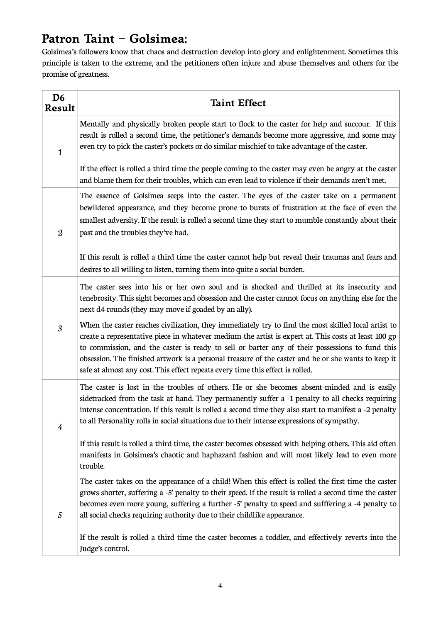# **Patron Taint – Golsimea:**

Golsimea's followers know that chaos and destruction develop into glory and enlightenment. Sometimes this principle is taken to the extreme, and the petitioners often injure and abuse themselves and others for the promise of greatness.

| D <sub>6</sub><br>Result | <b>Taint Effect</b>                                                                                                                                                                                                                                                                                                                                                                                                                                                                                    |
|--------------------------|--------------------------------------------------------------------------------------------------------------------------------------------------------------------------------------------------------------------------------------------------------------------------------------------------------------------------------------------------------------------------------------------------------------------------------------------------------------------------------------------------------|
| 1                        | Mentally and physically broken people start to flock to the caster for help and succour. If this<br>result is rolled a second time, the petitioner's demands become more aggressive, and some may<br>even try to pick the caster's pockets or do similar mischief to take advantage of the caster.                                                                                                                                                                                                     |
|                          | If the effect is rolled a third time the people coming to the caster may even be angry at the caster<br>and blame them for their troubles, which can even lead to violence if their demands aren't met.                                                                                                                                                                                                                                                                                                |
| $\mathfrak{2}$           | The essence of Golsimea seeps into the caster. The eyes of the caster take on a permanent<br>bewildered appearance, and they become prone to bursts of frustration at the face of even the<br>smallest adversity. If the result is rolled a second time they start to mumble constantly about their<br>past and the troubles they've had.                                                                                                                                                              |
|                          | If this result is rolled a third time the caster cannot help but reveal their traumas and fears and<br>desires to all willing to listen, turning them into quite a social burden.                                                                                                                                                                                                                                                                                                                      |
| 3                        | The caster sees into his or her own soul and is shocked and thrilled at its insecurity and<br>tenebrosity. This sight becomes and obsession and the caster cannot focus on anything else for the<br>next d4 rounds (they may move if goaded by an ally).                                                                                                                                                                                                                                               |
|                          | When the caster reaches civilization, they immediately try to find the most skilled local artist to<br>create a representative piece in whatever medium the artist is expert at. This costs at least 100 gp<br>to commission, and the caster is ready to sell or barter any of their possessions to fund this<br>obsession. The finished artwork is a personal treasure of the caster and he or she wants to keep it<br>safe at almost any cost. This effect repeats every time this effect is rolled. |
| $\overline{4}$           | The caster is lost in the troubles of others. He or she becomes absent-minded and is easily<br>sidetracked from the task at hand. They permanently suffer a -1 penalty to all checks requiring<br>intense concentration. If this result is rolled a second time they also start to manifest a -2 penalty<br>to all Personality rolls in social situations due to their intense expressions of sympathy.                                                                                                |
|                          | If this result is rolled a third time, the caster becomes obsessed with helping others. This aid often<br>manifests in Golsimea's chaotic and haphazard fashion and will most likely lead to even more<br>trouble.                                                                                                                                                                                                                                                                                     |
| 5                        | The caster takes on the appearance of a child! When this effect is rolled the first time the caster<br>grows shorter, suffering a -5' penalty to their speed. If the result is rolled a second time the caster<br>becomes even more young, suffering a further -5' penalty to speed and sufffering a -4 penalty to<br>all social checks requiring authority due to their childlike appearance.                                                                                                         |
|                          | If the result is rolled a third time the caster becomes a toddler, and effectively reverts into the<br>Judge's control.                                                                                                                                                                                                                                                                                                                                                                                |